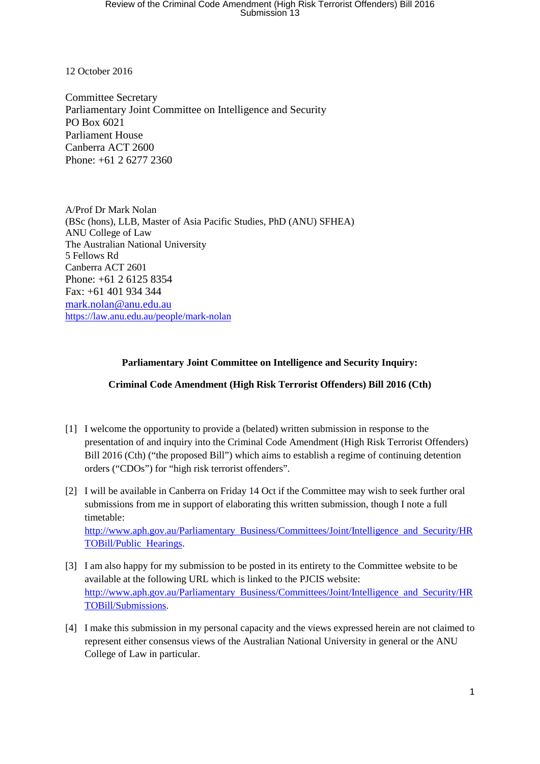12 October 2016

Committee Secretary Parliamentary Joint Committee on Intelligence and Security PO Box 6021 Parliament House Canberra ACT 2600 Phone: +61 2 6277 2360

A/Prof Dr Mark Nolan (BSc (hons), LLB, Master of Asia Pacific Studies, PhD (ANU) SFHEA) ANU College of Law The Australian National University 5 Fellows Rd Canberra ACT 2601 Phone: +61 2 6125 8354 Fax: +61 401 934 344 mark.nolan@anu.edu.au https://law.anu.edu.au/people/mark-nolan

## **Parliamentary Joint Committee on Intelligence and Security Inquiry:**

#### **Criminal Code Amendment (High Risk Terrorist Offenders) Bill 2016 (Cth)**

- [1] I welcome the opportunity to provide a (belated) written submission in response to the presentation of and inquiry into the Criminal Code Amendment (High Risk Terrorist Offenders) Bill 2016 (Cth) ("the proposed Bill") which aims to establish a regime of continuing detention orders ("CDOs") for "high risk terrorist offenders".
- [2] I will be available in Canberra on Friday 14 Oct if the Committee may wish to seek further oral submissions from me in support of elaborating this written submission, though I note a full timetable: http://www.aph.gov.au/Parliamentary Business/Committees/Joint/Intelligence and Security/HR TOBill/Public Hearings.
- [3] I am also happy for my submission to be posted in its entirety to the Committee website to be available at the following URL which is linked to the PJCIS website: http://www.aph.gov.au/Parliamentary Business/Committees/Joint/Intelligence and Security/HR TOBill/Submissions.
- [4] I make this submission in my personal capacity and the views expressed herein are not claimed to represent either consensus views of the Australian National University in general or the ANU College of Law in particular.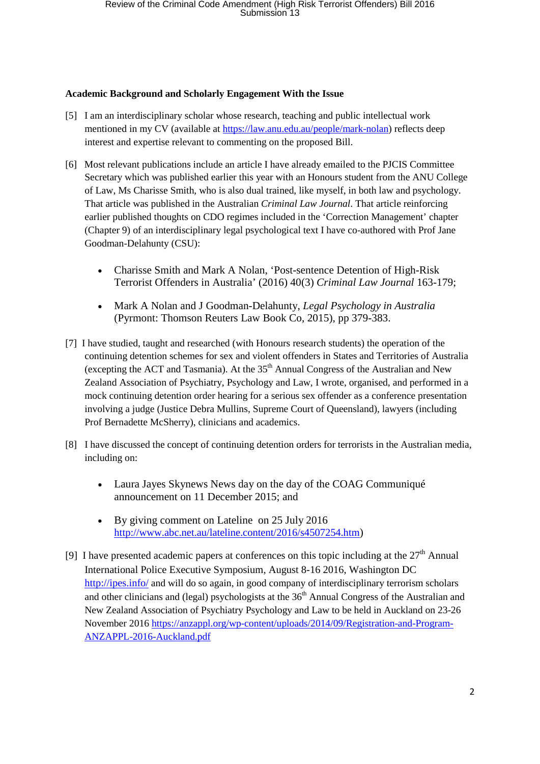#### **Academic Background and Scholarly Engagement With the Issue**

- [5] I am an interdisciplinary scholar whose research, teaching and public intellectual work mentioned in my CV (available at https://law.anu.edu.au/people/mark-nolan) reflects deep interest and expertise relevant to commenting on the proposed Bill.
- [6] Most relevant publications include an article I have already emailed to the PJCIS Committee Secretary which was published earlier this year with an Honours student from the ANU College of Law, Ms Charisse Smith, who is also dual trained, like myself, in both law and psychology. That article was published in the Australian *Criminal Law Journal*. That article reinforcing earlier published thoughts on CDO regimes included in the 'Correction Management' chapter (Chapter 9) of an interdisciplinary legal psychological text I have co-authored with Prof Jane Goodman-Delahunty (CSU):
	- Charisse Smith and Mark A Nolan, 'Post-sentence Detention of High-Risk Terrorist Offenders in Australia' (2016) 40(3) *Criminal Law Journal* 163-179;
	- Mark A Nolan and J Goodman-Delahunty, *Legal Psychology in Australia*  (Pyrmont: Thomson Reuters Law Book Co, 2015), pp 379-383.
- [7] I have studied, taught and researched (with Honours research students) the operation of the continuing detention schemes for sex and violent offenders in States and Territories of Australia (excepting the ACT and Tasmania). At the  $35<sup>th</sup>$  Annual Congress of the Australian and New Zealand Association of Psychiatry, Psychology and Law, I wrote, organised, and performed in a mock continuing detention order hearing for a serious sex offender as a conference presentation involving a judge (Justice Debra Mullins, Supreme Court of Queensland), lawyers (including Prof Bernadette McSherry), clinicians and academics.
- [8] I have discussed the concept of continuing detention orders for terrorists in the Australian media, including on:
	- Laura Jayes Skynews News day on the day of the COAG Communiqué announcement on 11 December 2015; and
	- By giving comment on Lateline on 25 July 2016 http://www.abc.net.au/lateline.content/2016/s4507254.htm)
- [9] I have presented academic papers at conferences on this topic including at the  $27<sup>th</sup>$  Annual International Police Executive Symposium, August 8-16 2016, Washington DC http://ipes.info/ and will do so again, in good company of interdisciplinary terrorism scholars and other clinicians and (legal) psychologists at the  $36<sup>th</sup>$  Annual Congress of the Australian and New Zealand Association of Psychiatry Psychology and Law to be held in Auckland on 23-26 November 2016 https://anzappl.org/wp-content/uploads/2014/09/Registration-and-Program-ANZAPPL-2016-Auckland.pdf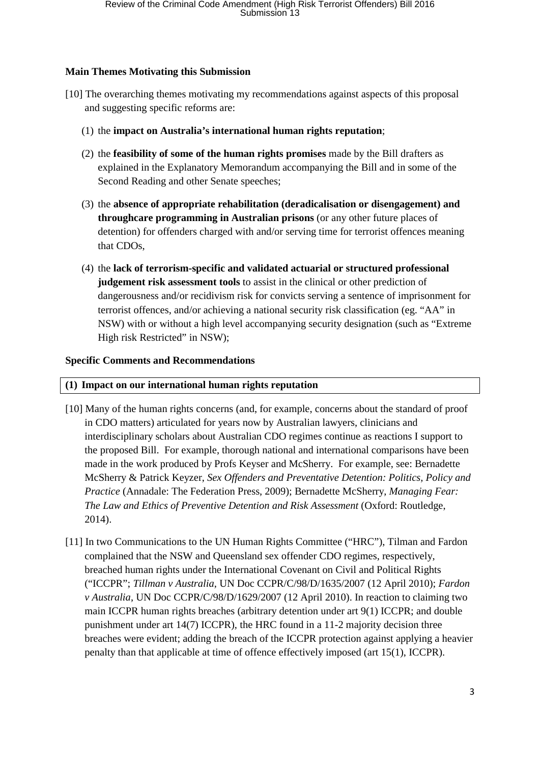## **Main Themes Motivating this Submission**

- [10] The overarching themes motivating my recommendations against aspects of this proposal and suggesting specific reforms are:
	- (1) the **impact on Australia's international human rights reputation**;
	- (2) the **feasibility of some of the human rights promises** made by the Bill drafters as explained in the Explanatory Memorandum accompanying the Bill and in some of the Second Reading and other Senate speeches;
	- (3) the **absence of appropriate rehabilitation (deradicalisation or disengagement) and throughcare programming in Australian prisons** (or any other future places of detention) for offenders charged with and/or serving time for terrorist offences meaning that CDOs,
	- (4) the **lack of terrorism-specific and validated actuarial or structured professional judgement risk assessment tools** to assist in the clinical or other prediction of dangerousness and/or recidivism risk for convicts serving a sentence of imprisonment for terrorist offences, and/or achieving a national security risk classification (eg. "AA" in NSW) with or without a high level accompanying security designation (such as "Extreme High risk Restricted" in NSW);

## **Specific Comments and Recommendations**

## **(1) Impact on our international human rights reputation**

- [10] Many of the human rights concerns (and, for example, concerns about the standard of proof in CDO matters) articulated for years now by Australian lawyers, clinicians and interdisciplinary scholars about Australian CDO regimes continue as reactions I support to the proposed Bill. For example, thorough national and international comparisons have been made in the work produced by Profs Keyser and McSherry. For example, see: Bernadette McSherry & Patrick Keyzer, *Sex Offenders and Preventative Detention: Politics, Policy and Practice* (Annadale: The Federation Press, 2009); Bernadette McSherry, *Managing Fear: The Law and Ethics of Preventive Detention and Risk Assessment* (Oxford: Routledge, 2014).
- [11] In two Communications to the UN Human Rights Committee ("HRC"), Tilman and Fardon complained that the NSW and Queensland sex offender CDO regimes, respectively, breached human rights under the International Covenant on Civil and Political Rights ("ICCPR"; *Tillman v Australia*, UN Doc CCPR/C/98/D/1635/2007 (12 April 2010); *Fardon v Australia*, UN Doc CCPR/C/98/D/1629/2007 (12 April 2010). In reaction to claiming two main ICCPR human rights breaches (arbitrary detention under art 9(1) ICCPR; and double punishment under art 14(7) ICCPR), the HRC found in a 11-2 majority decision three breaches were evident; adding the breach of the ICCPR protection against applying a heavier penalty than that applicable at time of offence effectively imposed (art 15(1), ICCPR).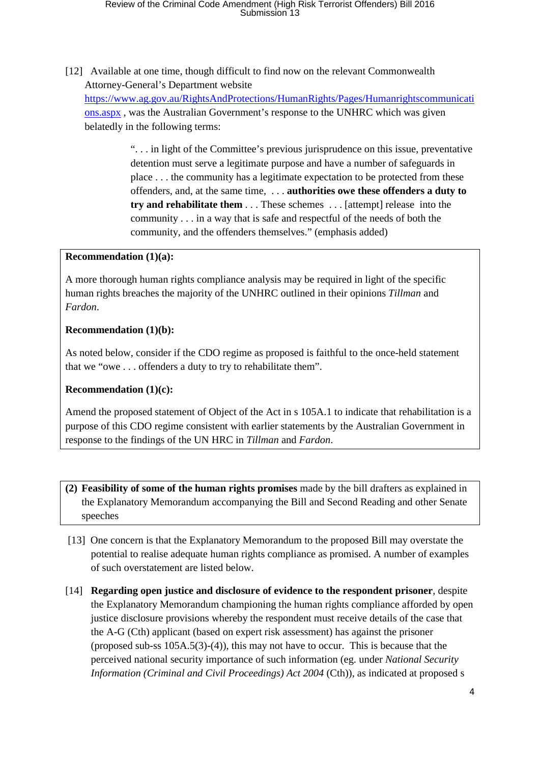[12] Available at one time, though difficult to find now on the relevant Commonwealth Attorney-General's Department website https://www.ag.gov.au/RightsAndProtections/HumanRights/Pages/Humanrightscommunicati ons.aspx , was the Australian Government's response to the UNHRC which was given

belatedly in the following terms:

". . . in light of the Committee's previous jurisprudence on this issue, preventative detention must serve a legitimate purpose and have a number of safeguards in place . . . the community has a legitimate expectation to be protected from these offenders, and, at the same time, . . . **authorities owe these offenders a duty to try and rehabilitate them** . . . These schemes . . . [attempt] release into the community . . . in a way that is safe and respectful of the needs of both the community, and the offenders themselves." (emphasis added)

#### **Recommendation (1)(a):**

A more thorough human rights compliance analysis may be required in light of the specific human rights breaches the majority of the UNHRC outlined in their opinions *Tillman* and *Fardon*.

## **Recommendation (1)(b):**

As noted below, consider if the CDO regime as proposed is faithful to the once-held statement that we "owe . . . offenders a duty to try to rehabilitate them".

## **Recommendation (1)(c):**

Amend the proposed statement of Object of the Act in s 105A.1 to indicate that rehabilitation is a purpose of this CDO regime consistent with earlier statements by the Australian Government in response to the findings of the UN HRC in *Tillman* and *Fardon*.

- **(2) Feasibility of some of the human rights promises** made by the bill drafters as explained in the Explanatory Memorandum accompanying the Bill and Second Reading and other Senate speeches
- [13] One concern is that the Explanatory Memorandum to the proposed Bill may overstate the potential to realise adequate human rights compliance as promised. A number of examples of such overstatement are listed below.
- [14] **Regarding open justice and disclosure of evidence to the respondent prisoner**, despite the Explanatory Memorandum championing the human rights compliance afforded by open justice disclosure provisions whereby the respondent must receive details of the case that the A-G (Cth) applicant (based on expert risk assessment) has against the prisoner (proposed sub-ss 105A.5(3)-(4)), this may not have to occur. This is because that the perceived national security importance of such information (eg. under *National Security Information (Criminal and Civil Proceedings) Act 2004 (Cth)), as indicated at proposed s*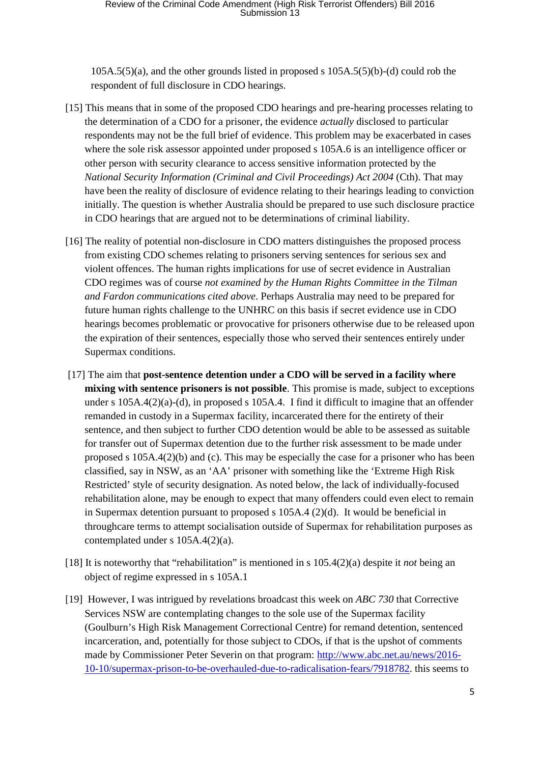105A.5(5)(a), and the other grounds listed in proposed s 105A.5(5)(b)-(d) could rob the respondent of full disclosure in CDO hearings.

- [15] This means that in some of the proposed CDO hearings and pre-hearing processes relating to the determination of a CDO for a prisoner, the evidence *actually* disclosed to particular respondents may not be the full brief of evidence. This problem may be exacerbated in cases where the sole risk assessor appointed under proposed s 105A.6 is an intelligence officer or other person with security clearance to access sensitive information protected by the *National Security Information (Criminal and Civil Proceedings) Act 2004 (Cth). That may* have been the reality of disclosure of evidence relating to their hearings leading to conviction initially. The question is whether Australia should be prepared to use such disclosure practice in CDO hearings that are argued not to be determinations of criminal liability.
- [16] The reality of potential non-disclosure in CDO matters distinguishes the proposed process from existing CDO schemes relating to prisoners serving sentences for serious sex and violent offences. The human rights implications for use of secret evidence in Australian CDO regimes was of course *not examined by the Human Rights Committee in the Tilman and Fardon communications cited above*. Perhaps Australia may need to be prepared for future human rights challenge to the UNHRC on this basis if secret evidence use in CDO hearings becomes problematic or provocative for prisoners otherwise due to be released upon the expiration of their sentences, especially those who served their sentences entirely under Supermax conditions.
- [17] The aim that **post-sentence detention under a CDO will be served in a facility where mixing with sentence prisoners is not possible**. This promise is made, subject to exceptions under s 105A.4(2)(a)-(d), in proposed s 105A.4. I find it difficult to imagine that an offender remanded in custody in a Supermax facility, incarcerated there for the entirety of their sentence, and then subject to further CDO detention would be able to be assessed as suitable for transfer out of Supermax detention due to the further risk assessment to be made under proposed s 105A.4(2)(b) and (c). This may be especially the case for a prisoner who has been classified, say in NSW, as an 'AA' prisoner with something like the 'Extreme High Risk Restricted' style of security designation. As noted below, the lack of individually-focused rehabilitation alone, may be enough to expect that many offenders could even elect to remain in Supermax detention pursuant to proposed s 105A.4 (2)(d). It would be beneficial in throughcare terms to attempt socialisation outside of Supermax for rehabilitation purposes as contemplated under s 105A.4(2)(a).
- [18] It is noteworthy that "rehabilitation" is mentioned in s 105.4(2)(a) despite it *not* being an object of regime expressed in s 105A.1
- [19] However, I was intrigued by revelations broadcast this week on *ABC 730* that Corrective Services NSW are contemplating changes to the sole use of the Supermax facility (Goulburn's High Risk Management Correctional Centre) for remand detention, sentenced incarceration, and, potentially for those subject to CDOs, if that is the upshot of comments made by Commissioner Peter Severin on that program: http://www.abc.net.au/news/2016- 10-10/supermax-prison-to-be-overhauled-due-to-radicalisation-fears/7918782. this seems to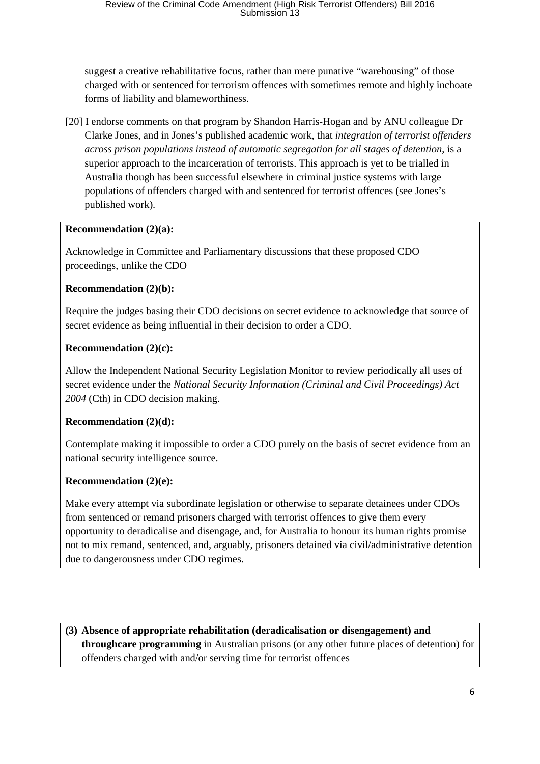suggest a creative rehabilitative focus, rather than mere punative "warehousing" of those charged with or sentenced for terrorism offences with sometimes remote and highly inchoate forms of liability and blameworthiness.

[20] I endorse comments on that program by Shandon Harris-Hogan and by ANU colleague Dr Clarke Jones, and in Jones's published academic work, that *integration of terrorist offenders across prison populations instead of automatic segregation for all stages of detention*, is a superior approach to the incarceration of terrorists. This approach is yet to be trialled in Australia though has been successful elsewhere in criminal justice systems with large populations of offenders charged with and sentenced for terrorist offences (see Jones's published work).

## **Recommendation (2)(a):**

Acknowledge in Committee and Parliamentary discussions that these proposed CDO proceedings, unlike the CDO

# **Recommendation (2)(b):**

Require the judges basing their CDO decisions on secret evidence to acknowledge that source of secret evidence as being influential in their decision to order a CDO.

# **Recommendation (2)(c):**

Allow the Independent National Security Legislation Monitor to review periodically all uses of secret evidence under the *National Security Information (Criminal and Civil Proceedings) Act 2004* (Cth) in CDO decision making.

# **Recommendation (2)(d):**

Contemplate making it impossible to order a CDO purely on the basis of secret evidence from an national security intelligence source.

# **Recommendation (2)(e):**

Make every attempt via subordinate legislation or otherwise to separate detainees under CDOs from sentenced or remand prisoners charged with terrorist offences to give them every opportunity to deradicalise and disengage, and, for Australia to honour its human rights promise not to mix remand, sentenced, and, arguably, prisoners detained via civil/administrative detention due to dangerousness under CDO regimes.

**(3) Absence of appropriate rehabilitation (deradicalisation or disengagement) and throughcare programming** in Australian prisons (or any other future places of detention) for offenders charged with and/or serving time for terrorist offences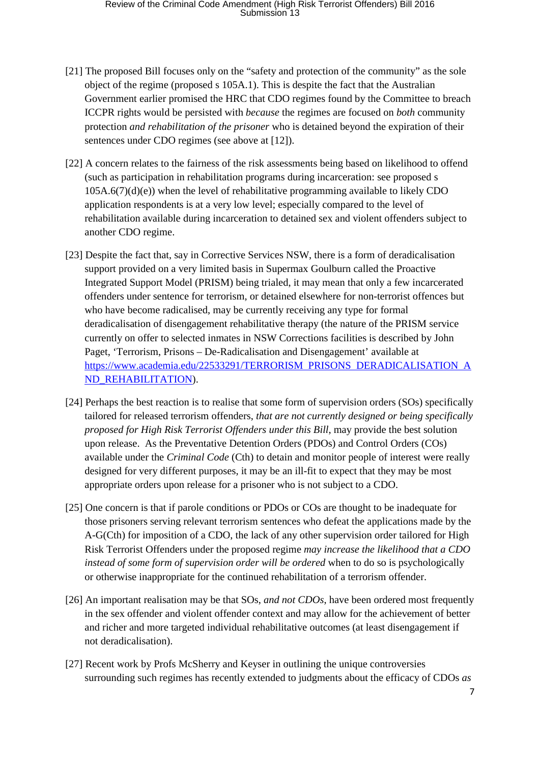# Review of the Criminal Code Amendment (High Risk Terrorist Offenders) Bill 2016<br>Submission 13

- [21] The proposed Bill focuses only on the "safety and protection of the community" as the sole object of the regime (proposed s 105A.1). This is despite the fact that the Australian Government earlier promised the HRC that CDO regimes found by the Committee to breach ICCPR rights would be persisted with *because* the regimes are focused on *both* community protection *and rehabilitation of the prisoner* who is detained beyond the expiration of their sentences under CDO regimes (see above at [12]).
- [22] A concern relates to the fairness of the risk assessments being based on likelihood to offend (such as participation in rehabilitation programs during incarceration: see proposed s  $105A.6(7)(d)(e)$ ) when the level of rehabilitative programming available to likely CDO application respondents is at a very low level; especially compared to the level of rehabilitation available during incarceration to detained sex and violent offenders subject to another CDO regime.
- [23] Despite the fact that, say in Corrective Services NSW, there is a form of deradicalisation support provided on a very limited basis in Supermax Goulburn called the Proactive Integrated Support Model (PRISM) being trialed, it may mean that only a few incarcerated offenders under sentence for terrorism, or detained elsewhere for non-terrorist offences but who have become radicalised, may be currently receiving any type for formal deradicalisation of disengagement rehabilitative therapy (the nature of the PRISM service currently on offer to selected inmates in NSW Corrections facilities is described by John Paget, 'Terrorism, Prisons – De-Radicalisation and Disengagement' available at https://www.academia.edu/22533291/TERRORISM PRISONS DERADICALISATION A ND\_REHABILITATION).
- [24] Perhaps the best reaction is to realise that some form of supervision orders (SOs) specifically tailored for released terrorism offenders, *that are not currently designed or being specifically proposed for High Risk Terrorist Offenders under this Bill*, may provide the best solution upon release. As the Preventative Detention Orders (PDOs) and Control Orders (COs) available under the *Criminal Code* (Cth) to detain and monitor people of interest were really designed for very different purposes, it may be an ill-fit to expect that they may be most appropriate orders upon release for a prisoner who is not subject to a CDO.
- [25] One concern is that if parole conditions or PDOs or COs are thought to be inadequate for those prisoners serving relevant terrorism sentences who defeat the applications made by the A-G(Cth) for imposition of a CDO, the lack of any other supervision order tailored for High Risk Terrorist Offenders under the proposed regime *may increase the likelihood that a CDO instead of some form of supervision order will be ordered* when to do so is psychologically or otherwise inappropriate for the continued rehabilitation of a terrorism offender.
- [26] An important realisation may be that SOs, *and not CDOs*, have been ordered most frequently in the sex offender and violent offender context and may allow for the achievement of better and richer and more targeted individual rehabilitative outcomes (at least disengagement if not deradicalisation).
- [27] Recent work by Profs McSherry and Keyser in outlining the unique controversies surrounding such regimes has recently extended to judgments about the efficacy of CDOs *as*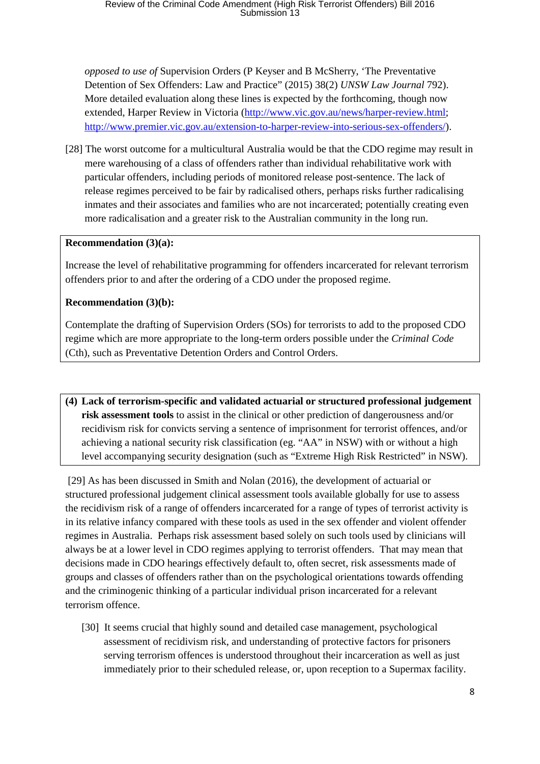*opposed to use of* Supervision Orders (P Keyser and B McSherry, 'The Preventative Detention of Sex Offenders: Law and Practice" (2015) 38(2) *UNSW Law Journal* 792). More detailed evaluation along these lines is expected by the forthcoming, though now extended, Harper Review in Victoria (http://www.vic.gov.au/news/harper-review.html; http://www.premier.vic.gov.au/extension-to-harper-review-into-serious-sex-offenders/).

[28] The worst outcome for a multicultural Australia would be that the CDO regime may result in mere warehousing of a class of offenders rather than individual rehabilitative work with particular offenders, including periods of monitored release post-sentence. The lack of release regimes perceived to be fair by radicalised others, perhaps risks further radicalising inmates and their associates and families who are not incarcerated; potentially creating even more radicalisation and a greater risk to the Australian community in the long run.

## **Recommendation (3)(a):**

Increase the level of rehabilitative programming for offenders incarcerated for relevant terrorism offenders prior to and after the ordering of a CDO under the proposed regime.

## **Recommendation (3)(b):**

Contemplate the drafting of Supervision Orders (SOs) for terrorists to add to the proposed CDO regime which are more appropriate to the long-term orders possible under the *Criminal Code* (Cth), such as Preventative Detention Orders and Control Orders.

**(4) Lack of terrorism-specific and validated actuarial or structured professional judgement risk assessment tools** to assist in the clinical or other prediction of dangerousness and/or recidivism risk for convicts serving a sentence of imprisonment for terrorist offences, and/or achieving a national security risk classification (eg. "AA" in NSW) with or without a high level accompanying security designation (such as "Extreme High Risk Restricted" in NSW).

 [29] As has been discussed in Smith and Nolan (2016), the development of actuarial or structured professional judgement clinical assessment tools available globally for use to assess the recidivism risk of a range of offenders incarcerated for a range of types of terrorist activity is in its relative infancy compared with these tools as used in the sex offender and violent offender regimes in Australia. Perhaps risk assessment based solely on such tools used by clinicians will always be at a lower level in CDO regimes applying to terrorist offenders. That may mean that decisions made in CDO hearings effectively default to, often secret, risk assessments made of groups and classes of offenders rather than on the psychological orientations towards offending and the criminogenic thinking of a particular individual prison incarcerated for a relevant terrorism offence.

[30] It seems crucial that highly sound and detailed case management, psychological assessment of recidivism risk, and understanding of protective factors for prisoners serving terrorism offences is understood throughout their incarceration as well as just immediately prior to their scheduled release, or, upon reception to a Supermax facility.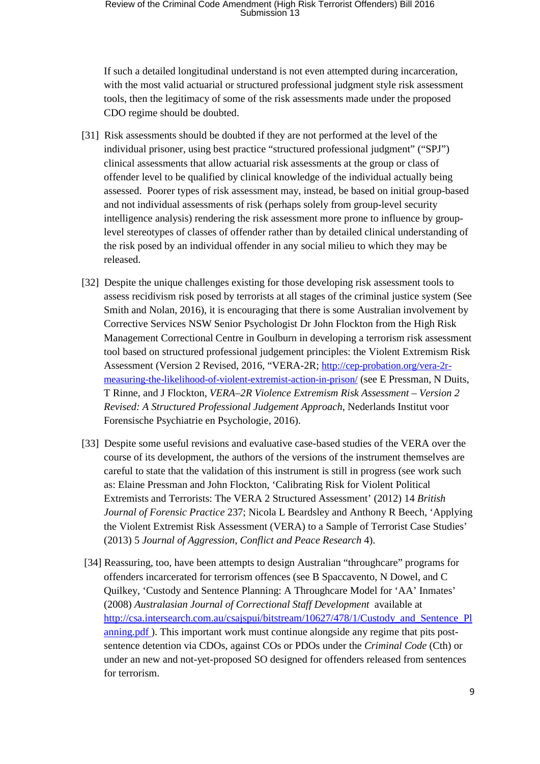# Review of the Criminal Code Amendment (High Risk Terrorist Offenders) Bill 2016<br>Submission 13

If such a detailed longitudinal understand is not even attempted during incarceration, with the most valid actuarial or structured professional judgment style risk assessment tools, then the legitimacy of some of the risk assessments made under the proposed CDO regime should be doubted.

- [31] Risk assessments should be doubted if they are not performed at the level of the individual prisoner, using best practice "structured professional judgment" ("SPJ") clinical assessments that allow actuarial risk assessments at the group or class of offender level to be qualified by clinical knowledge of the individual actually being assessed. Poorer types of risk assessment may, instead, be based on initial group-based and not individual assessments of risk (perhaps solely from group-level security intelligence analysis) rendering the risk assessment more prone to influence by grouplevel stereotypes of classes of offender rather than by detailed clinical understanding of the risk posed by an individual offender in any social milieu to which they may be released.
- [32] Despite the unique challenges existing for those developing risk assessment tools to assess recidivism risk posed by terrorists at all stages of the criminal justice system (See Smith and Nolan, 2016), it is encouraging that there is some Australian involvement by Corrective Services NSW Senior Psychologist Dr John Flockton from the High Risk Management Correctional Centre in Goulburn in developing a terrorism risk assessment tool based on structured professional judgement principles: the Violent Extremism Risk Assessment (Version 2 Revised, 2016, "VERA-2R; http://cep-probation.org/vera-2rmeasuring-the-likelihood-of-violent-extremist-action-in-prison/ (see E Pressman, N Duits, T Rinne, and J Flockton, *VERA–2R Violence Extremism Risk Assessment – Version 2 Revised: A Structured Professional Judgement Approach*, Nederlands Institut voor Forensische Psychiatrie en Psychologie, 2016).
- [33] Despite some useful revisions and evaluative case-based studies of the VERA over the course of its development, the authors of the versions of the instrument themselves are careful to state that the validation of this instrument is still in progress (see work such as: Elaine Pressman and John Flockton, 'Calibrating Risk for Violent Political Extremists and Terrorists: The VERA 2 Structured Assessment' (2012) 14 *British Journal of Forensic Practice* 237; Nicola L Beardsley and Anthony R Beech, 'Applying the Violent Extremist Risk Assessment (VERA) to a Sample of Terrorist Case Studies' (2013) 5 *Journal of Aggression, Conflict and Peace Research* 4).
- [34] Reassuring, too, have been attempts to design Australian "throughcare" programs for offenders incarcerated for terrorism offences (see B Spaccavento, N Dowel, and C Quilkey, 'Custody and Sentence Planning: A Throughcare Model for 'AA' Inmates' (2008) *Australasian Journal of Correctional Staff Development* available at http://csa.intersearch.com.au/csajspui/bitstream/10627/478/1/Custody\_and\_Sentence\_Pl anning.pdf ). This important work must continue alongside any regime that pits postsentence detention via CDOs, against COs or PDOs under the *Criminal Code* (Cth) or under an new and not-yet-proposed SO designed for offenders released from sentences for terrorism.